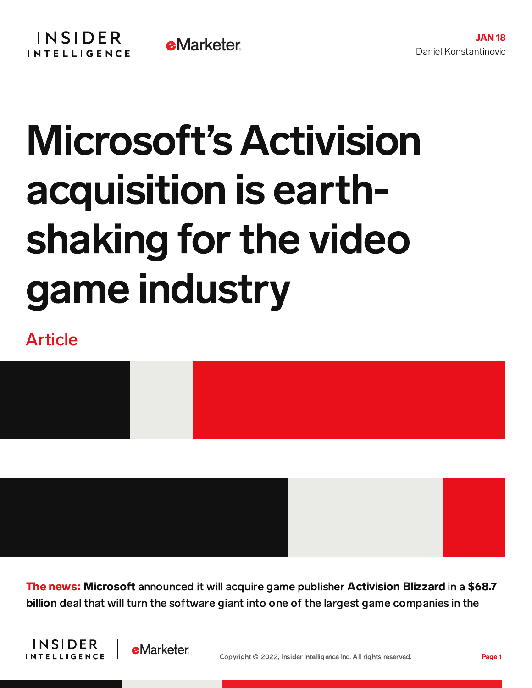## Microsoft's Activision acquisition is earthshaking for the video game industry

## Article



The news: Microsoft announced it will acquire game publisher Activision Blizzard in a \$68.7 billion deal that will turn the software giant into one of the largest game companies in the



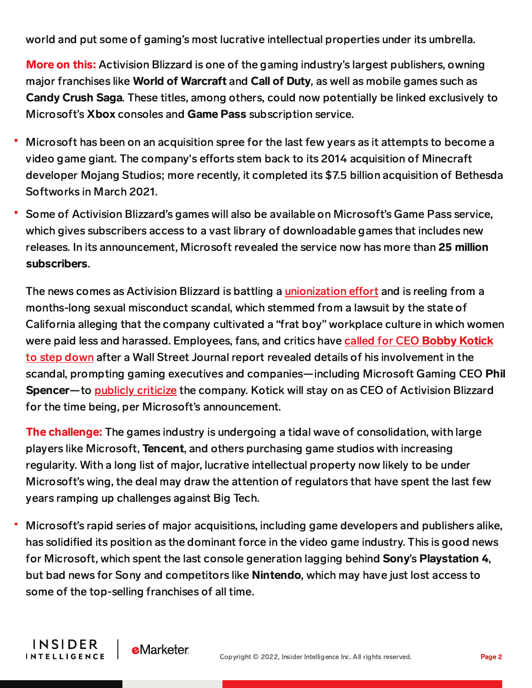world and put some of gaming's most lucrative intellectual properties under its umbrella.

More on this: Activision Blizzard is one of the gaming industry's largest publishers, owning major franchises like World of Warcraft and Call of Duty, as well as mobile games such as Candy Crush Saga. These titles, among others, could now potentially be linked exclusively to Microsoft's Xbox consoles and Game Pass subscription service.

- Microsoft has been on an acquisition spree for the last few years as it attempts to become a video game giant. The company's efforts stem back to its 2014 acquisition of Minecraft developer Mojang Studios; more recently, it completed its \$7.5 billion acquisition of Bethesda Softworks in March 2021.
- Some of Activision Blizzard's games will also be available on Microsoft's Game Pass service, which gives subscribers access to a vast library of downloadable games that includes new releases. In its announcement, Microsoft revealed the service now has more than 25 million subscribers.

The news comes as Activision Blizzard is battling a [unionization](https://content-na2.emarketer.com/independent-games-studio-becomes-first-unionize-north-america) effort and is reeling from a months-long sexual misconduct scandal, which stemmed from a lawsuit by the state of California alleging that the company cultivated a "frat boy" workplace culture in which women were paid less and harassed. Employees, fans, and critics have called for CEO Bobby Kotick to step down after a Wall Street Journal report revealed details of his [involvement](https://content-na2.emarketer.com/activision-blizzard-faces-fan-industry-backlash-after-wall-street-journal-report-alleges-ceo-misconduct) in the scandal, prompting gaming executives and companies—including Microsoft Gaming CEO Phil Spencer—to publicly [criticize](https://www.pcgamer.com/xbox-boss-is-evaluating-all-aspects-of-microsofts-relationship-with-activision-blizzard/) the company. Kotick will stay on as CEO of Activision Blizzard for the time being, per Microsoft's announcement.

The challenge: The games industry is undergoing a tidal wave of consolidation, with large players like Microsoft, **Tencent**, and others purchasing game studios with increasing regularity. With a long list of major, lucrative intellectual property now likely to be under Microsoft's wing, the deal may draw the attention of regulators that have spent the last few years ramping up challenges against Big Tech.

Microsoft's rapid series of major acquisitions, including game developers and publishers alike, has solidified its position as the dominant force in the video game industry. This is good news for Microsoft, which spent the last console generation lagging behind Sony's Playstation 4, but bad news for Sony and competitors like Nintendo, which may have just lost access to some of the top-selling franchises of all time.

**INSIDER** 

**INTELLIGENCE** 

**e**Marketer